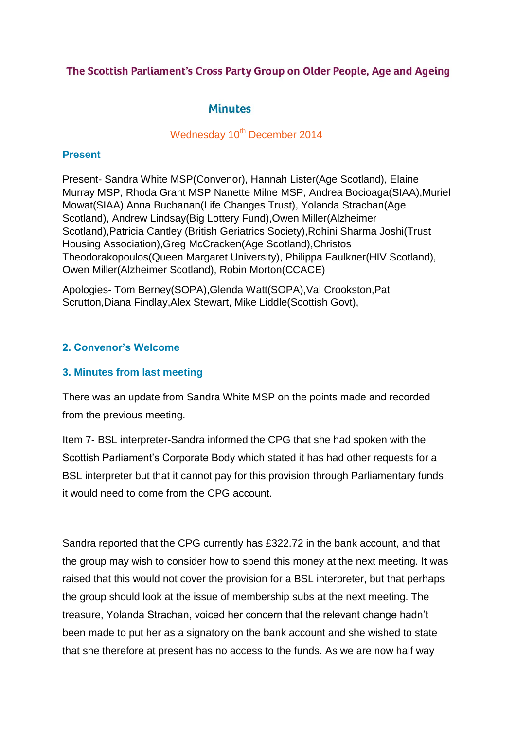# The Scottish Parliament's Cross Party Group on Older People, Age and Ageing

## **Minutes**

# Wednesday 10<sup>th</sup> December 2014

## **Present**

Present- Sandra White MSP(Convenor), Hannah Lister(Age Scotland), Elaine Murray MSP, Rhoda Grant MSP Nanette Milne MSP, Andrea Bocioaga(SIAA),Muriel Mowat(SIAA),Anna Buchanan(Life Changes Trust), Yolanda Strachan(Age Scotland), Andrew Lindsay(Big Lottery Fund),Owen Miller(Alzheimer Scotland),Patricia Cantley (British Geriatrics Society),Rohini Sharma Joshi(Trust Housing Association),Greg McCracken(Age Scotland),Christos Theodorakopoulos(Queen Margaret University), Philippa Faulkner(HIV Scotland), Owen Miller(Alzheimer Scotland), Robin Morton(CCACE)

Apologies- Tom Berney(SOPA),Glenda Watt(SOPA),Val Crookston,Pat Scrutton,Diana Findlay,Alex Stewart, Mike Liddle(Scottish Govt),

## **2. Convenor's Welcome**

## **3. Minutes from last meeting**

There was an update from Sandra White MSP on the points made and recorded from the previous meeting.

Item 7- BSL interpreter-Sandra informed the CPG that she had spoken with the Scottish Parliament's Corporate Body which stated it has had other requests for a BSL interpreter but that it cannot pay for this provision through Parliamentary funds, it would need to come from the CPG account.

Sandra reported that the CPG currently has £322.72 in the bank account, and that the group may wish to consider how to spend this money at the next meeting. It was raised that this would not cover the provision for a BSL interpreter, but that perhaps the group should look at the issue of membership subs at the next meeting. The treasure, Yolanda Strachan, voiced her concern that the relevant change hadn't been made to put her as a signatory on the bank account and she wished to state that she therefore at present has no access to the funds. As we are now half way